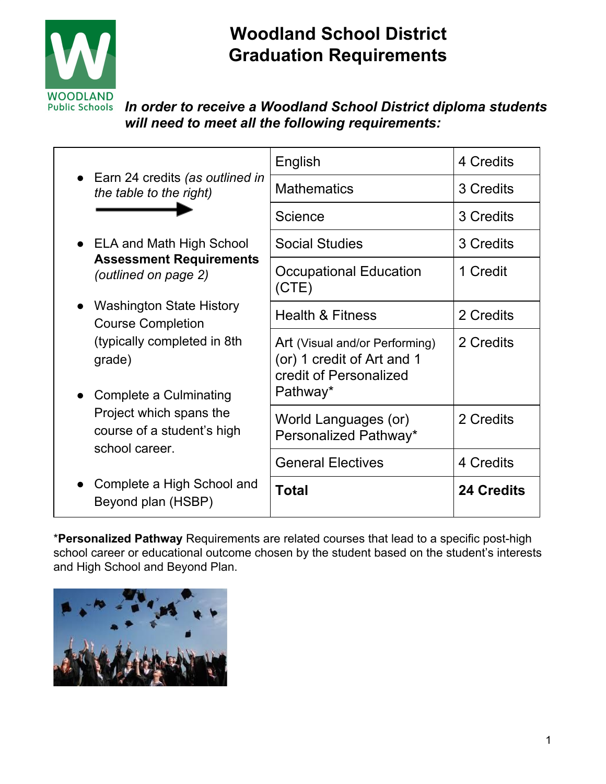

# **Woodland School District Graduation Requirements**

*In order to receive a Woodland School District diploma students will need to meet all the following requirements:*

| • Earn 24 credits (as outlined in<br>the table to the right)                                                                                                                                            | English                                                                                            | 4 Credits         |
|---------------------------------------------------------------------------------------------------------------------------------------------------------------------------------------------------------|----------------------------------------------------------------------------------------------------|-------------------|
|                                                                                                                                                                                                         | <b>Mathematics</b>                                                                                 | 3 Credits         |
|                                                                                                                                                                                                         | Science                                                                                            | 3 Credits         |
| • ELA and Math High School<br><b>Assessment Requirements</b><br>(outlined on page 2)                                                                                                                    | <b>Social Studies</b>                                                                              | 3 Credits         |
|                                                                                                                                                                                                         | <b>Occupational Education</b><br>(CTE)                                                             | 1 Credit          |
| • Washington State History<br><b>Course Completion</b><br>(typically completed in 8th)<br>grade)<br>• Complete a Culminating<br>Project which spans the<br>course of a student's high<br>school career. | <b>Health &amp; Fitness</b>                                                                        | 2 Credits         |
|                                                                                                                                                                                                         | Art (Visual and/or Performing)<br>(or) 1 credit of Art and 1<br>credit of Personalized<br>Pathway* | 2 Credits         |
|                                                                                                                                                                                                         | World Languages (or)<br>Personalized Pathway*                                                      | 2 Credits         |
|                                                                                                                                                                                                         | <b>General Electives</b>                                                                           | 4 Credits         |
| Complete a High School and<br>Beyond plan (HSBP)                                                                                                                                                        | <b>Total</b>                                                                                       | <b>24 Credits</b> |

\***Personalized Pathway** Requirements are related courses that lead to a specific post-high school career or educational outcome chosen by the student based on the student's interests and High School and Beyond Plan.